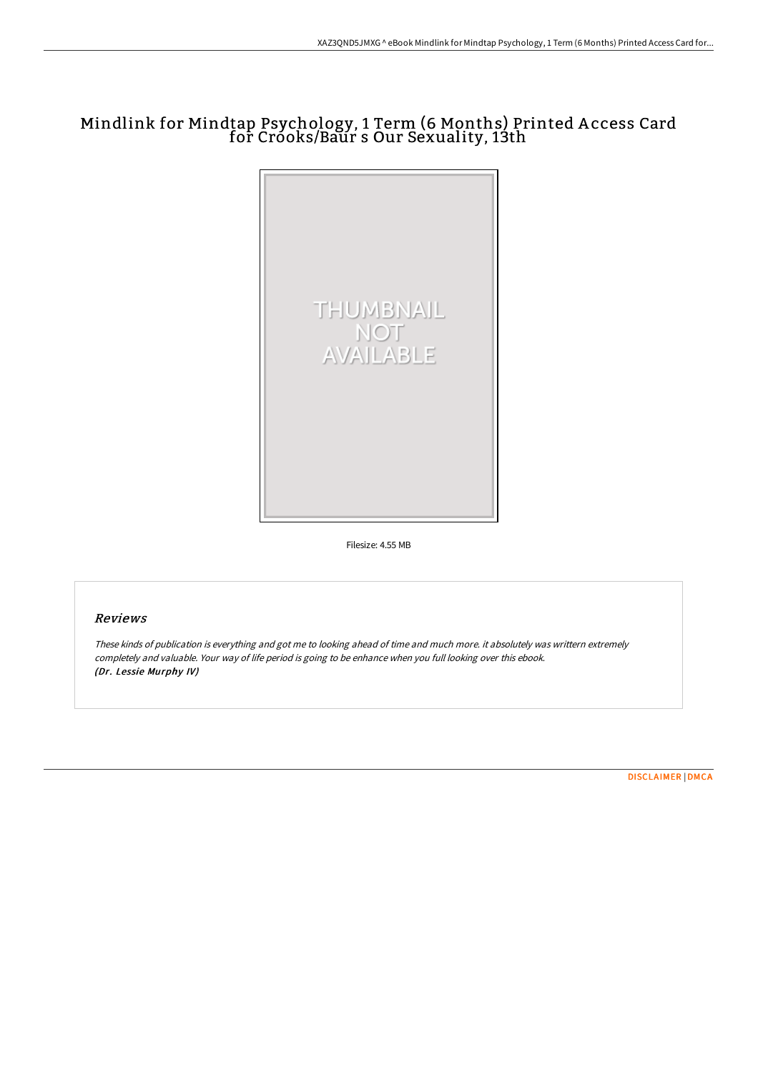## Mindlink for Mindtap Psychology, 1 Term (6 Months) Printed A ccess Card for Crooks/Baur s Our Sexuality, 13th



Filesize: 4.55 MB

## Reviews

These kinds of publication is everything and got me to looking ahead of time and much more. it absolutely was writtern extremely completely and valuable. Your way of life period is going to be enhance when you full looking over this ebook. (Dr. Lessie Murphy IV)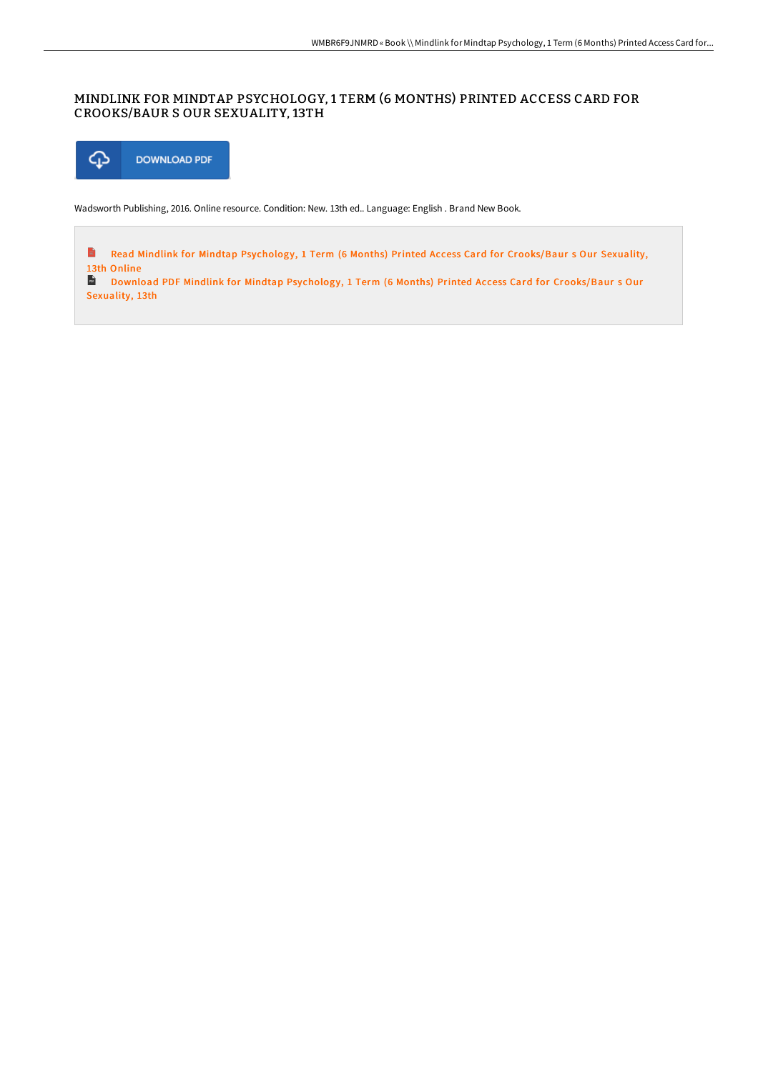## MINDLINK FOR MINDTAP PSYCHOLOGY, 1 TERM (6 MONTHS) PRINTED ACCESS CARD FOR CROOKS/BAUR S OUR SEXUALITY, 13TH



Wadsworth Publishing, 2016. Online resource. Condition: New. 13th ed.. Language: English . Brand New Book.

E Read Mindlink for Mindtap Psychology, 1 Term (6 Months) Printed Access Card for [Crooks/Baur](http://techno-pub.tech/mindlink-for-mindtap-psychology-1-term-6-months--1.html) s Our Sexuality, 13th Online

Download PDF Mindlink for Mindtap Psychology, 1 Term (6 Months) Printed Access Card for [Crooks/Baur](http://techno-pub.tech/mindlink-for-mindtap-psychology-1-term-6-months--1.html) s Our Sexuality, 13th